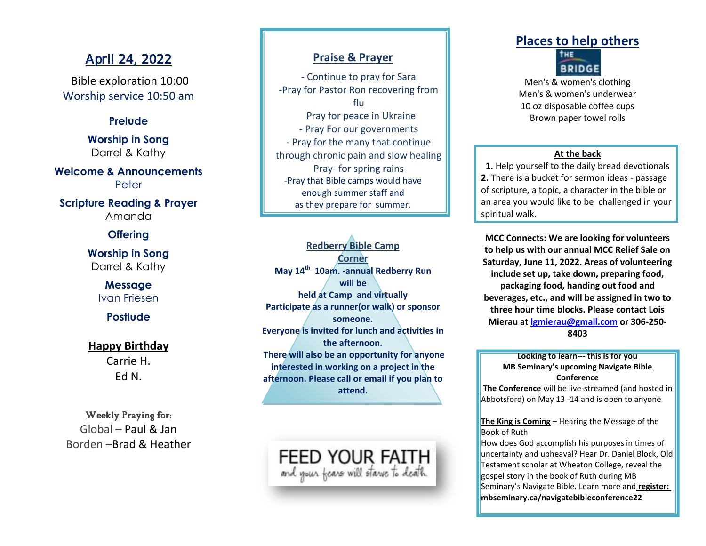# April 24, 2022

Bible exploration 10:00 Worship service 10:50 am

## **Prelude**

**Worship in Song** Darrel & Kathy

**Welcome & Announcements** Peter

**Scripture Reading & Prayer** Amanda

**Offering**

**Worship in Song** Darrel & Kathy

> **Message** Ivan Friesen

> > **Postlude**

## **Happy Birthday**

Carrie H. Ed N.

## Weekly Praying for:

Global – Paul & Jan Borden –Brad & Heather

## **Praise & Prayer**

- Continue to pray for Sara -Pray for Pastor Ron recovering from flu Pray for peace in Ukraine - Pray For our governments - Pray for the many that continue through chronic pain and slow healing Pray- for spring rains -Pray that Bible camps would have enough summer staff and as they prepare for summer.

**Redberry Bible Camp Corner May 14th 10am. -annual Redberry Run will be held at Camp and virtually Participate as a runner(or walk) or sponsor someone. Everyone is invited for lunch and activities in the afternoon. There will also be an opportunity for anyone interested in working on a project in the afternoon. Please call or email if you plan to attend.**

FEED YOUR FAITH and your fears will starve to death

# **Places to help others**



Men's & women's clothing Men's & women's underwear 10 oz disposable coffee cups Brown paper towel rolls

#### **At the back**

**1.** Help yourself to the daily bread devotionals **2.** There is a bucket for sermon ideas - passage of scripture, a topic, a character in the bible or an area you would like to be challenged in your spiritual walk.

**MCC Connects: We are looking for volunteers to help us with our annual MCC Relief Sale on Saturday, June 11, 2022. Areas of volunteering include set up, take down, preparing food, packaging food, handing out food and beverages, etc., and will be assigned in two to three hour time blocks. Please contact Lois Mierau at [lgmierau@gmail.com](mailto:lgmierau@gmail.com) or 306-250- 8403**

### **Looking to learn--- this is for you MB Seminary's upcoming Navigate Bible Conference**

**The Conference** will be live-streamed (and hosted in Abbotsford) on May 13 -14 and is open to anyone

**The King is Coming** – Hearing the Message of the Book of Ruth

How does God accomplish his purposes in times of uncertainty and upheaval? Hear Dr. Daniel Block, Old Testament scholar at Wheaton College, reveal the gospel story in the book of Ruth during MB Seminary's Navigate Bible. Learn more and **register: mbseminary.ca/navigatebibleconference22**